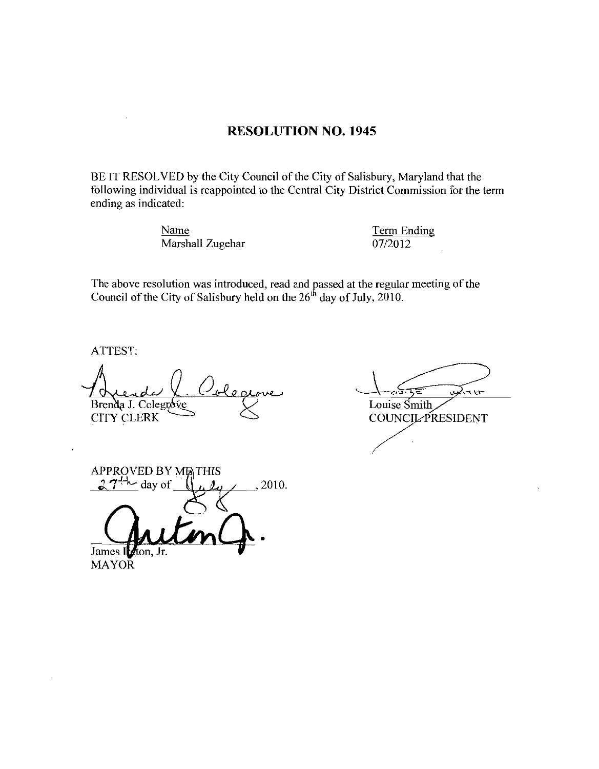## **RESOLUTION NO. 1945**

BE IT RESOLVED by the City Council of the City of Salisbury, Maryland that the following individual is reappointed to the Central City District Commission for the term ending as indicated:

> Name Marshall Zugehar

**Term Ending** 07/2012

The above resolution was introduced, read and passed at the regular meeting of the Council of the City of Salisbury held on the  $26<sup>th</sup>$  day of July, 2010.

ATTEST:

Brenda J. Colegróve CITY CLERK

white Louise Smith

COUNCIL PRESIDENT

**APPROVED BY METHIS**  $27^{+1}$  day of 2010.

James 1 ton, Jr. **MAYOR**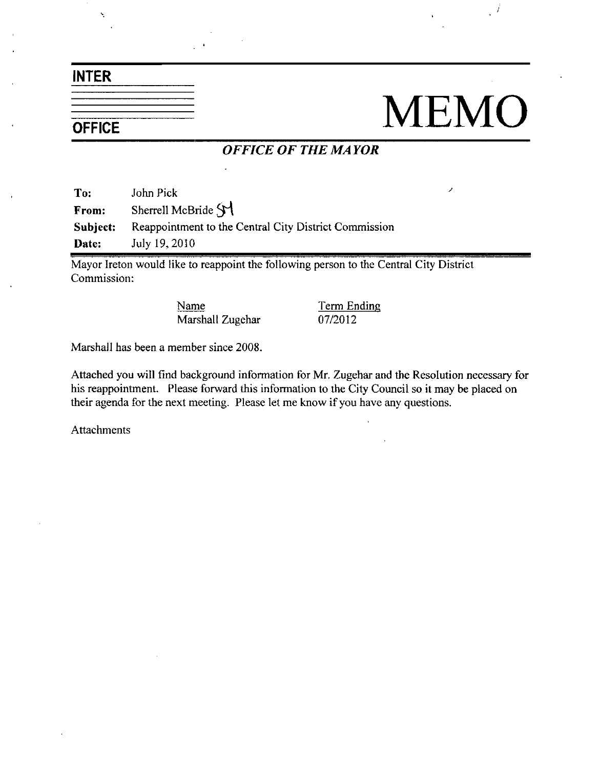INTER

## $\frac{1}{\frac{1}{\text{OFFICE}}}$  MEMO

## OFFICE OF THE MAYOR

To: John Pick From: Sherrell McBride SY Subject: Reappointment to the Central City District Commission Date: July 19, 2010

Mayor Ireton would like to reappoint the following person to the Central City District Commission

> Name Term Ending Marshall Zugehar 07/2012

Marshall has been a member since 2008.

Attached you will find background information for Mr Zugehaz and the Resolution necessary for his reappointment. Please forward this information to the City Council so it may be placed on their agenda for the next meeting. Please let me know if you have any questions.

Attachments